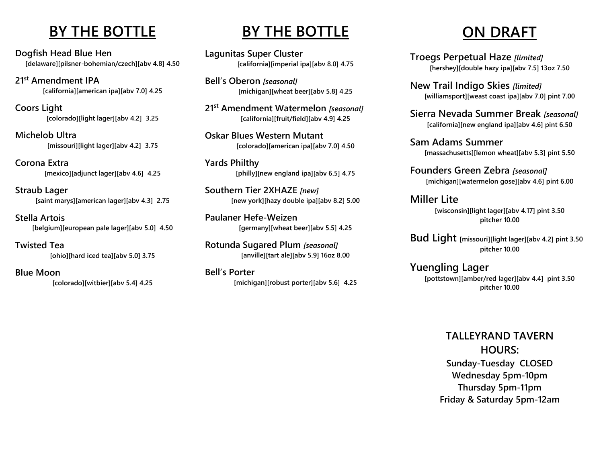### **BY THE BOTTLE**

**Dogfish Head Blue Hen [delaware][pilsner-bohemian/czech][abv 4.8] 4.50**

**21st Amendment IPA [california][american ipa][abv 7.0] 4.25**

**Coors Light [colorado][light lager][abv 4.2] 3.25**

**Michelob Ultra [missouri][light lager][abv 4.2] 3.75**

**Corona Extra [mexico][adjunct lager][abv 4.6] 4.25**

**Straub Lager [saint marys][american lager][abv 4.3] 2.75**

**Stella Artois [belgium][european pale lager][abv 5.0] 4.50**

**Twisted Tea [ohio][hard iced tea][abv 5.0] 3.75**

**Blue Moon [colorado][witbier][abv 5.4] 4.25**

### **BY THE BOTTLE**

**Lagunitas Super Cluster [california][imperial ipa][abv 8.0] 4.75**

**Bell's Oberon** *[seasonal]* **[michigan][wheat beer][abv 5.8] 4.25**

**21st Amendment Watermelon** *[seasonal]* **[california][fruit/field][abv 4.9] 4.25**

**Oskar Blues Western Mutant [colorado][american ipa][abv 7.0] 4.50**

**Yards Philthy [philly][new england ipa][abv 6.5] 4.75**

**Southern Tier 2XHAZE** *[new]* **[new york][hazy double ipa][abv 8.2] 5.00**

**Paulaner Hefe-Weizen [germany][wheat beer][abv 5.5] 4.25**

**Rotunda Sugared Plum** *[seasonal]* **[anville][tart ale][abv 5.9] 16oz 8.00**

**Bell's Porter [michigan][robust porter][abv 5.6] 4.25**

# **ON DRAFT**

**Troegs Perpetual Haze** *[limited]* **[hershey][double hazy ipa][abv 7.5] 13oz 7.50**

**New Trail Indigo Skies** *[limited]* **[williamsport][weast coast ipa][abv 7.0] pint 7.00**

**Sierra Nevada Summer Break** *[seasonal]* **[california][new england ipa][abv 4.6] pint 6.50**

**Sam Adams Summer [massachusetts][lemon wheat][abv 5.3] pint 5.50**

**Founders Green Zebra** *[seasonal]* **[michigan][watermelon gose][abv 4.6] pint 6.00**

**Miller Lite [wisconsin][light lager][abv 4.17] pint 3.50 pitcher 10.00**

**Bud Light [missouri][light lager][abv 4.2] pint 3.50 pitcher 10.00**

**Yuengling Lager [pottstown][amber/red lager][abv 4.4] pint 3.50 pitcher 10.00**

> **TALLEYRAND TAVERN HOURS: Sunday-Tuesday CLOSED Wednesday 5pm-10pm Thursday 5pm-11pm Friday & Saturday 5pm-12am**